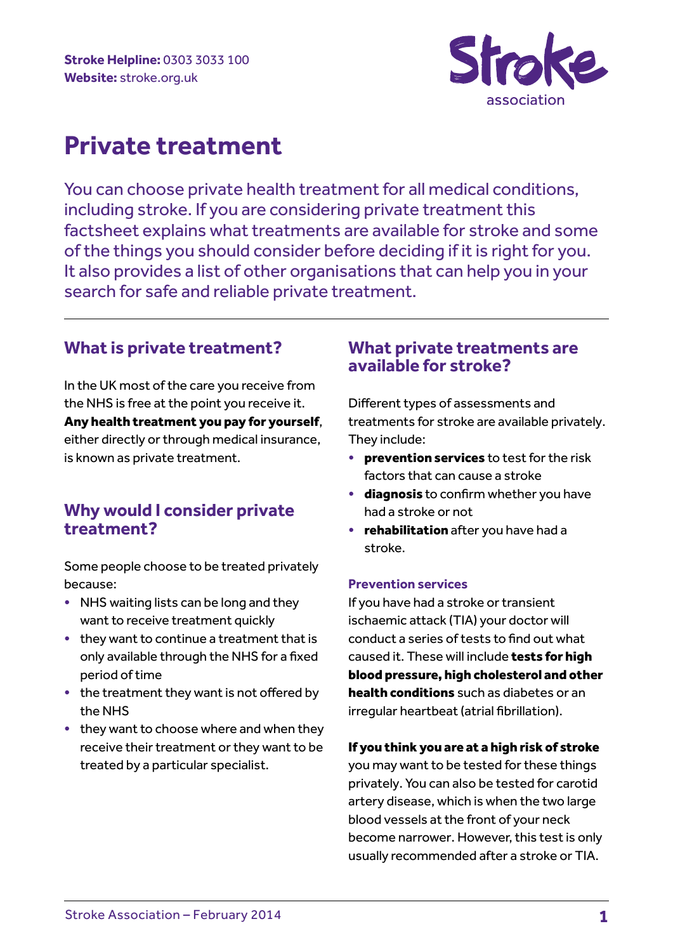

# **Private treatment**

You can choose private health treatment for all medical conditions, including stroke. If you are considering private treatment this factsheet explains what treatments are available for stroke and some of the things you should consider before deciding if it is right for you. It also provides a list of other organisations that can help you in your search for safe and reliable private treatment.

# **What is private treatment?**

In the UK most of the care you receive from the NHS is free at the point you receive it. Any health treatment you pay for yourself, either directly or through medical insurance, is known as private treatment.

# **Why would I consider private treatment?**

Some people choose to be treated privately because:

- NHS waiting lists can be long and they want to receive treatment quickly
- they want to continue a treatment that is only available through the NHS for a fixed period of time
- the treatment they want is not offered by the NHS
- they want to choose where and when they receive their treatment or they want to be treated by a particular specialist.

# **What private treatments are available for stroke?**

Different types of assessments and treatments for stroke are available privately. They include:

- **prevention services** to test for the risk factors that can cause a stroke
- diagnosis to confirm whether you have had a stroke or not
- **rehabilitation** after you have had a stroke.

# **Prevention services**

If you have had a stroke or transient ischaemic attack (TIA) your doctor will conduct a series of tests to find out what caused it. These will include tests for high blood pressure, high cholesterol and other health conditions such as diabetes or an irregular heartbeat (atrial fibrillation).

# If you think you are at a high risk of stroke

you may want to be tested for these things privately. You can also be tested for carotid artery disease, which is when the two large blood vessels at the front of your neck become narrower. However, this test is only usually recommended after a stroke or TIA.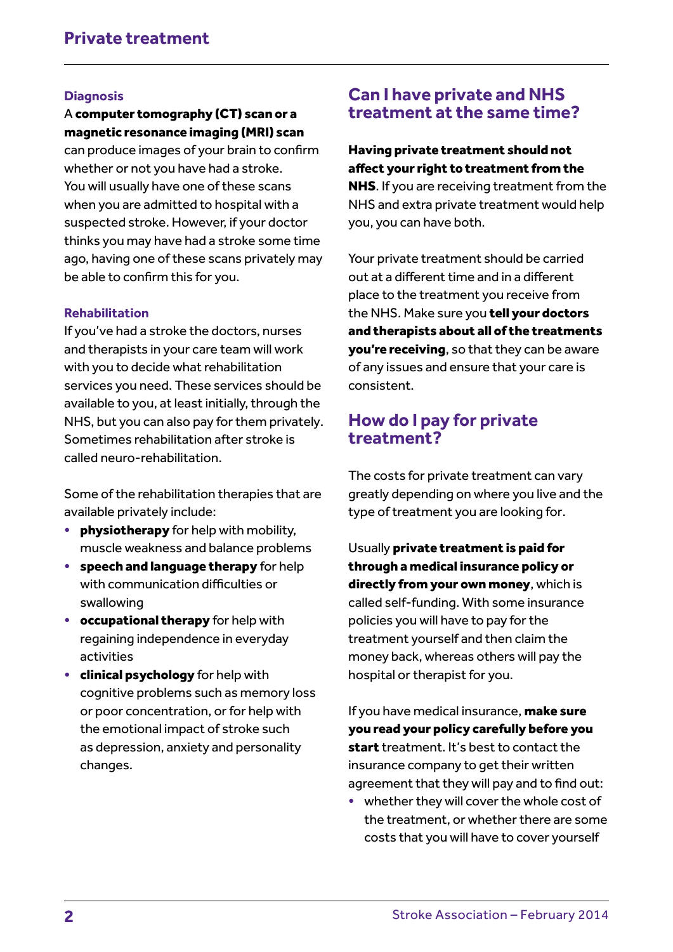#### **Diagnosis**

#### A computer tomography (CT) scan or a magnetic resonance imaging (MRI) scan

can produce images of your brain to confirm whether or not you have had a stroke. You will usually have one of these scans when you are admitted to hospital with a suspected stroke. However, if your doctor thinks you may have had a stroke some time ago, having one of these scans privately may be able to confirm this for you.

#### **Rehabilitation**

If you've had a stroke the doctors, nurses and therapists in your care team will work with you to decide what rehabilitation services you need. These services should be available to you, at least initially, through the NHS, but you can also pay for them privately. Sometimes rehabilitation after stroke is called neuro-rehabilitation.

Some of the rehabilitation therapies that are available privately include:

- physiotherapy for help with mobility, muscle weakness and balance problems
- speech and language therapy for help with communication difficulties or swallowing
- occupational therapy for help with regaining independence in everyday activities
- **clinical psychology** for help with cognitive problems such as memory loss or poor concentration, or for help with the emotional impact of stroke such as depression, anxiety and personality changes.

# **Can I have private and NHS treatment at the same time?**

## Having private treatment should not affect your right to treatment from the

NHS. If you are receiving treatment from the NHS and extra private treatment would help you, you can have both.

Your private treatment should be carried out at a different time and in a different place to the treatment you receive from the NHS. Make sure you tell your doctors and therapists about all of the treatments you're receiving, so that they can be aware of any issues and ensure that your care is consistent.

# **How do I pay for private treatment?**

The costs for private treatment can vary greatly depending on where you live and the type of treatment you are looking for.

Usually private treatment is paid for through a medical insurance policy or directly from your own money, which is called self-funding. With some insurance policies you will have to pay for the treatment yourself and then claim the money back, whereas others will pay the hospital or therapist for you.

If you have medical insurance, make sure you read your policy carefully before you start treatment. It's best to contact the insurance company to get their written agreement that they will pay and to find out:

• whether they will cover the whole cost of the treatment, or whether there are some costs that you will have to cover yourself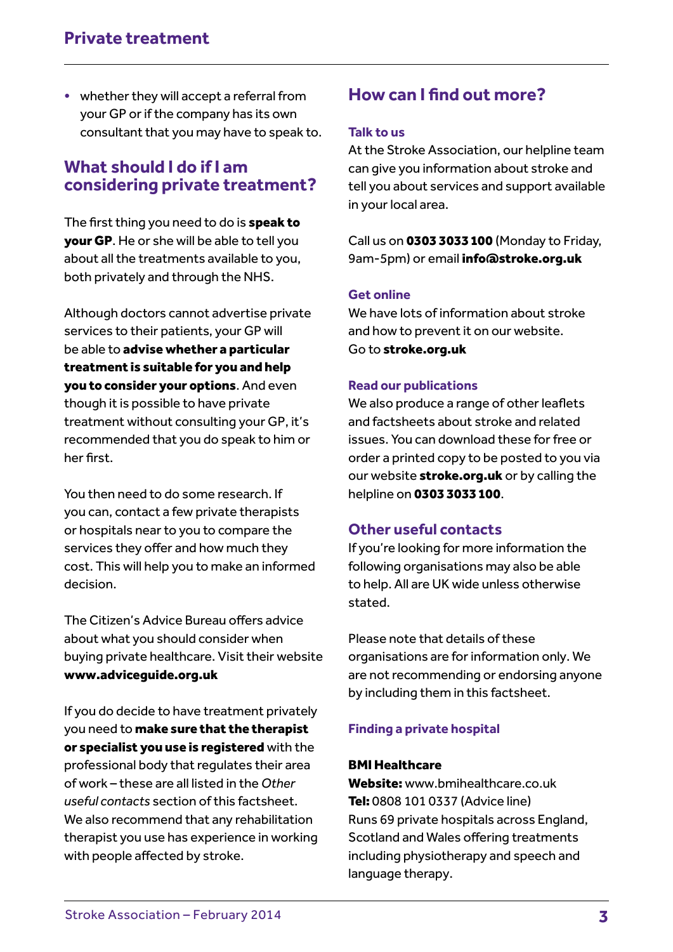• whether they will accept a referral from your GP or if the company has its own consultant that you may have to speak to.

# **What should I do if I am considering private treatment?**

The first thing you need to do is speak to your GP. He or she will be able to tell you about all the treatments available to you, both privately and through the NHS.

Although doctors cannot advertise private services to their patients, your GP will be able to advise whether a particular treatment is suitable for you and help you to consider your options. And even though it is possible to have private treatment without consulting your GP, it's recommended that you do speak to him or her first.

You then need to do some research. If you can, contact a few private therapists or hospitals near to you to compare the services they offer and how much they cost. This will help you to make an informed decision.

The Citizen's Advice Bureau offers advice about what you should consider when buying private healthcare. Visit their website www.adviceguide.org.uk

If you do decide to have treatment privately you need to make sure that the therapist or specialist you use is registered with the professional body that regulates their area of work – these are all listed in the *Other useful contacts* section of this factsheet. We also recommend that any rehabilitation therapist you use has experience in working with people affected by stroke.

# **How can I find out more?**

#### **Talk to us**

At the Stroke Association, our helpline team can give you information about stroke and tell you about services and support available in your local area.

Call us on 0303 3033 100 (Monday to Friday, 9am-5pm) or email info@stroke.org.uk

# **Get online**

We have lots of information about stroke and how to prevent it on our website. Go to stroke.org.uk

#### **Read our publications**

We also produce a range of other leaflets and factsheets about stroke and related issues. You can download these for free or order a printed copy to be posted to you via our website stroke.org.uk or by calling the helpline on 0303 3033 100.

# **Other useful contacts**

If you're looking for more information the following organisations may also be able to help. All are UK wide unless otherwise stated.

Please note that details of these organisations are for information only. We are not recommending or endorsing anyone by including them in this factsheet.

# **Finding a private hospital**

#### BMI Healthcare

Website: www.bmihealthcare.co.uk Tel: 0808 101 0337 (Advice line) Runs 69 private hospitals across England, Scotland and Wales offering treatments including physiotherapy and speech and language therapy.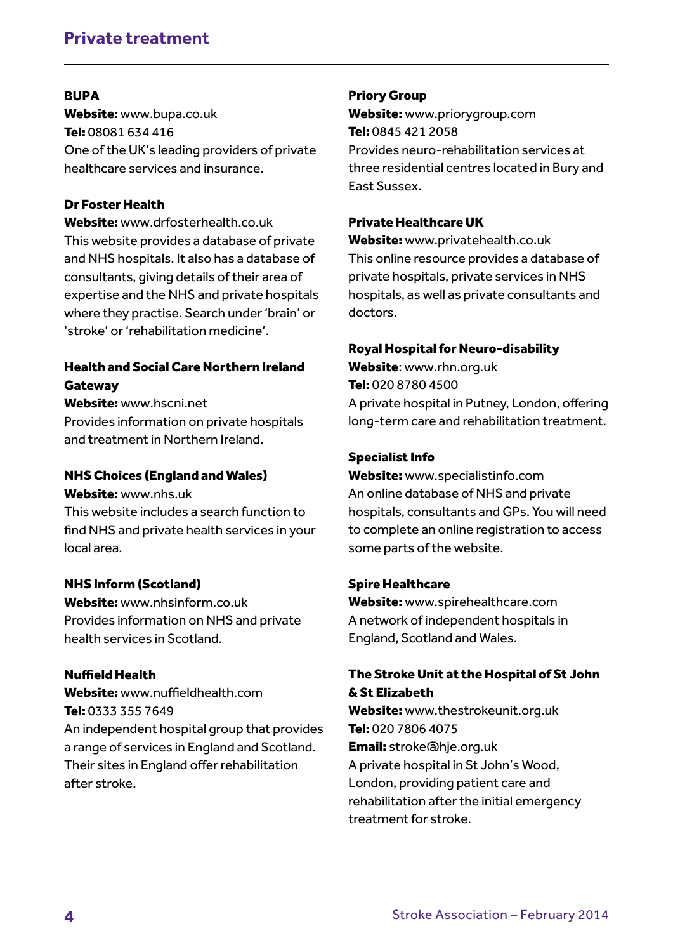# **Private treatment**

#### **RUPA**

Website: www.bupa.co.uk Tel: 08081 634 416 One of the UK's leading providers of private healthcare services and insurance.

# Dr Foster Health

Website: www.drfosterhealth.co.uk This website provides a database of private and NHS hospitals. It also has a database of consultants, giving details of their area of expertise and the NHS and private hospitals where they practise. Search under 'brain' or 'stroke' or 'rehabilitation medicine'.

# Health and Social Care Northern Ireland **Gateway**

Website: www.hscni.net

Provides information on private hospitals and treatment in Northern Ireland.

### NHS Choices (England and Wales)

#### Website: www.nhs.uk

This website includes a search function to find NHS and private health services in your local area.

# NHS Inform (Scotland)

Website: www.nhsinform.co.uk Provides information on NHS and private health services in Scotland.

# Nuffield Health

Website: www.nuffieldhealth.com Tel: 0333 355 7649 An independent hospital group that provides a range of services in England and Scotland. Their sites in England offer rehabilitation after stroke.

#### Priory Group

Website: www.priorygroup.com Tel: 0845 421 2058 Provides neuro-rehabilitation services at three residential centres located in Bury and East Sussex.

#### Private Healthcare UK

Website: www.privatehealth.co.uk This online resource provides a database of private hospitals, private services in NHS hospitals, as well as private consultants and doctors.

#### Royal Hospital for Neuro-disability

Website: www.rhn.org.uk Tel: 020 8780 4500 A private hospital in Putney, London, offering long-term care and rehabilitation treatment.

#### Specialist Info

Website: www.specialistinfo.com An online database of NHS and private hospitals, consultants and GPs. You will need to complete an online registration to access some parts of the website.

#### Spire Healthcare

Website: www.spirehealthcare.com A network of independent hospitals in England, Scotland and Wales.

# The Stroke Unit at the Hospital of St John & St Elizabeth

Website: www.thestrokeunit.org.uk Tel: 020 7806 4075 Email: stroke@hje.org.uk A private hospital in St John's Wood, London, providing patient care and rehabilitation after the initial emergency treatment for stroke.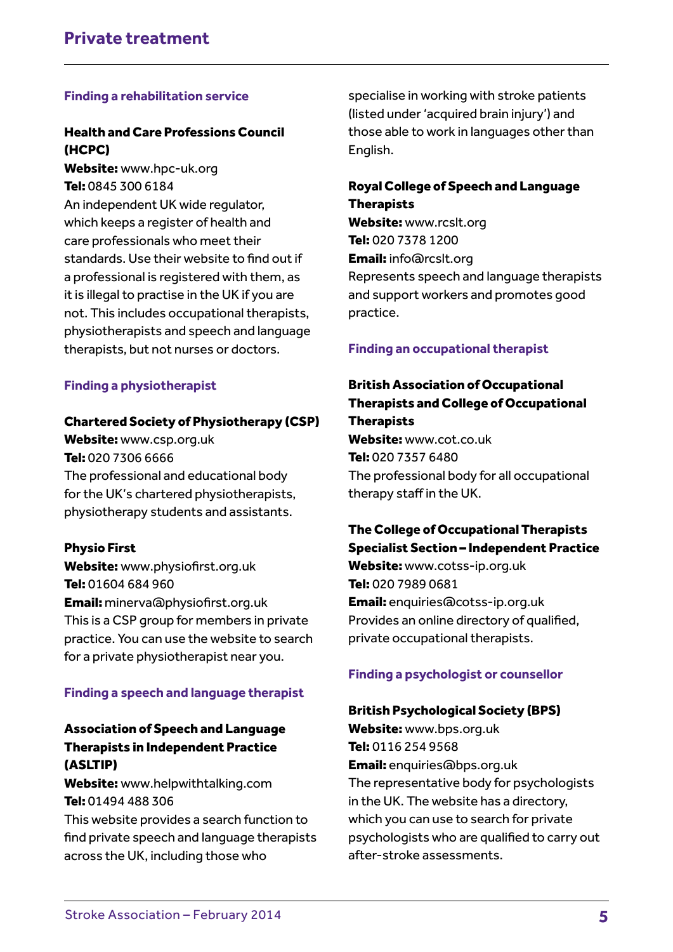#### **Finding a rehabilitation service**

# Health and Care Professions Council (HCPC)

Website: www.hpc-uk.org Tel: 0845 300 6184 An independent UK wide regulator, which keeps a register of health and care professionals who meet their standards. Use their website to find out if a professional is registered with them, as it is illegal to practise in the UK if you are not. This includes occupational therapists, physiotherapists and speech and language therapists, but not nurses or doctors.

#### **Finding a physiotherapist**

#### Chartered Society of Physiotherapy (CSP)

Website: www.csp.org.uk Tel: 020 7306 6666 The professional and educational body for the UK's chartered physiotherapists, physiotherapy students and assistants.

#### Physio First

Website: www.physiofirst.org.uk Tel: 01604 684 960 Email: minerva@physiofirst.org.uk This is a CSP group for members in private practice. You can use the website to search for a private physiotherapist near you.

#### **Finding a speech and language therapist**

# Association of Speech and Language Therapists in Independent Practice (ASLTIP)

Website: www.helpwithtalking.com Tel: 01494 488 306

This website provides a search function to find private speech and language therapists across the UK, including those who

specialise in working with stroke patients (listed under 'acquired brain injury') and those able to work in languages other than English.

## Royal College of Speech and Language **Therapists**

Website: www.rcslt.org Tel: 020 7378 1200 Email: info@rcslt.org Represents speech and language therapists and support workers and promotes good practice.

#### **Finding an occupational therapist**

# British Association of Occupational Therapists and College of Occupational **Therapists**

Website: www.cot.co.uk Tel: 020 7357 6480 The professional body for all occupational therapy staff in the UK.

# The College of Occupational Therapists Specialist Section – Independent Practice

Website: www.cotss-ip.org.uk Tel: 020 7989 0681 Email: enquiries@cotss-ip.org.uk Provides an online directory of qualified, private occupational therapists.

#### **Finding a psychologist or counsellor**

#### British Psychological Society (BPS)

Website: www.bps.org.uk Tel: 0116 254 9568 Email: enquiries@bps.org.uk The representative body for psychologists in the UK. The website has a directory, which you can use to search for private psychologists who are qualified to carry out after-stroke assessments.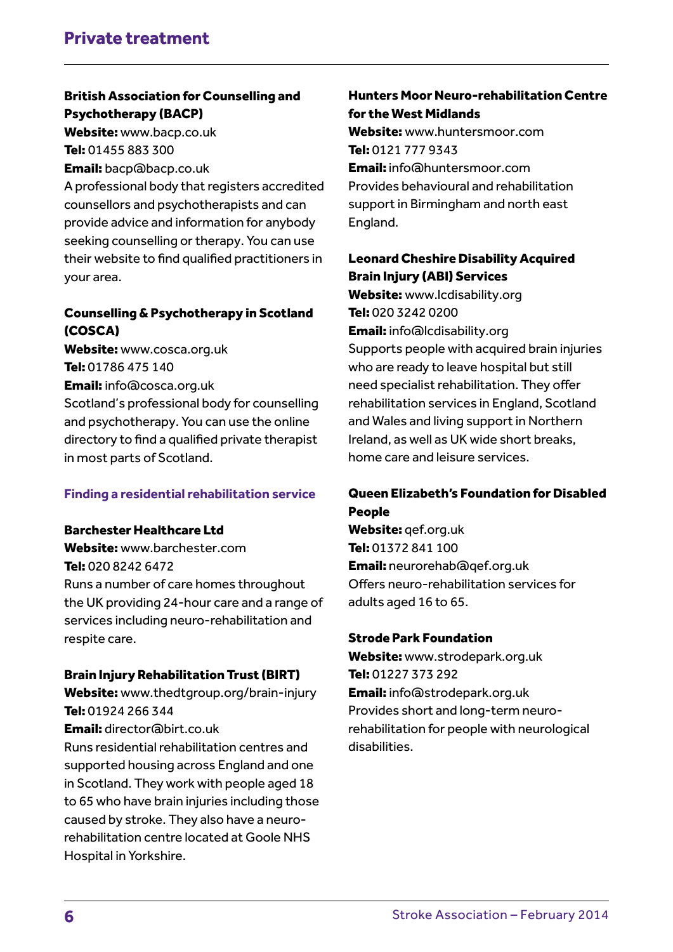# British Association for Counselling and Psychotherapy (BACP)

Website: www.bacp.co.uk Tel: 01455 883 300

Email: bacp@bacp.co.uk

A professional body that registers accredited counsellors and psychotherapists and can provide advice and information for anybody seeking counselling or therapy. You can use their website to find qualified practitioners in your area.

# Counselling & Psychotherapy in Scotland (COSCA)

Website: www.cosca.org.uk Tel: 01786 475 140 Email: info@cosca.org.uk Scotland's professional body for counselling and psychotherapy. You can use the online directory to find a qualified private therapist in most parts of Scotland.

# **Finding a residential rehabilitation service**

# Barchester Healthcare Ltd

Website: www.barchester.com Tel: 020 8242 6472 Runs a number of care homes throughout the UK providing 24-hour care and a range of services including neuro-rehabilitation and respite care.

# Brain Injury Rehabilitation Trust (BIRT)

Website: www.thedtgroup.org/brain-injury Tel: 01924 266 344 Email: director@birt.co.uk

Runs residential rehabilitation centres and supported housing across England and one in Scotland. They work with people aged 18 to 65 who have brain injuries including those caused by stroke. They also have a neurorehabilitation centre located at Goole NHS Hospital in Yorkshire.

# Hunters Moor Neuro-rehabilitation Centre for the West Midlands

Website: www.huntersmoor.com Tel: 0121 777 9343 Email: info@huntersmoor.com Provides behavioural and rehabilitation support in Birmingham and north east England.

# Leonard Cheshire Disability Acquired Brain Injury (ABI) Services

Website: www.lcdisability.org Tel: 020 3242 0200

Email: info@lcdisability.org Supports people with acquired brain injuries who are ready to leave hospital but still need specialist rehabilitation. They offer rehabilitation services in England, Scotland and Wales and living support in Northern Ireland, as well as UK wide short breaks, home care and leisure services.

# Queen Elizabeth's Foundation for Disabled People

Website: gef.org.uk Tel: 01372 841 100 Email: neurorehab@qef.org.uk Offers neuro-rehabilitation services for adults aged 16 to 65.

# Strode Park Foundation

Website: www.strodepark.org.uk Tel: 01227 373 292 Email: info@strodepark.org.uk Provides short and long-term neurorehabilitation for people with neurological disabilities.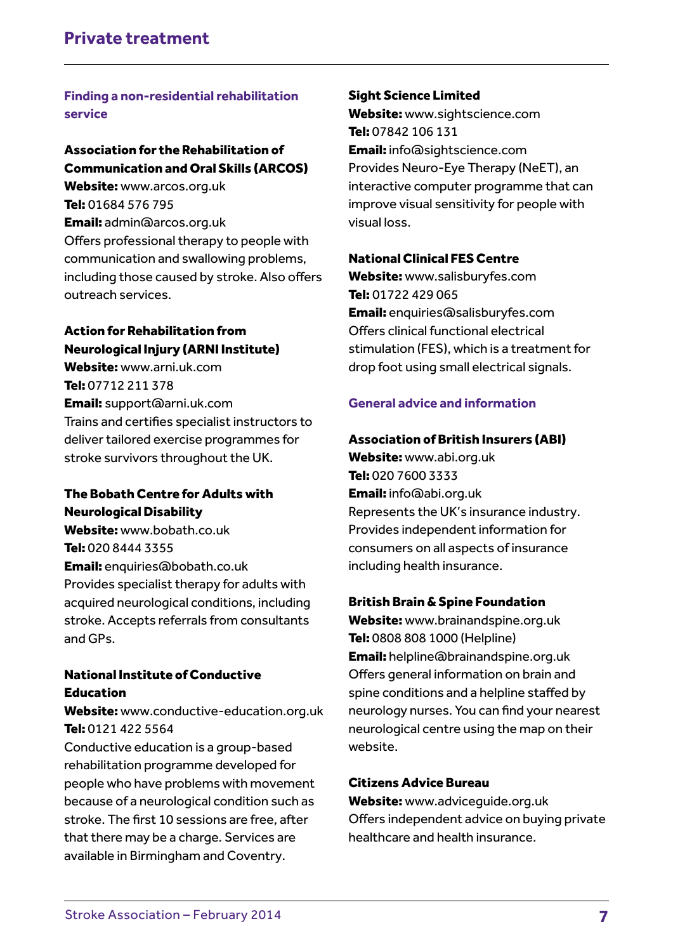# **Finding a non-residential rehabilitation service**

# Association for the Rehabilitation of Communication and Oral Skills (ARCOS)

Website: www.arcos.org.uk Tel: 01684 576 795 Email: admin@arcos.org.uk Offers professional therapy to people with communication and swallowing problems, including those caused by stroke. Also offers outreach services.

# Action for Rehabilitation from Neurological Injury (ARNI Institute)

Website: www.arni.uk.com Tel: 07712 211 378 Email: support@arni.uk.com Trains and certifies specialist instructors to deliver tailored exercise programmes for stroke survivors throughout the UK.

# The Bobath Centre for Adults with Neurological Disability

Website: www.bobath.co.uk Tel: 020 8444 3355 Email: enquiries@bobath.co.uk Provides specialist therapy for adults with acquired neurological conditions, including stroke. Accepts referrals from consultants and GPs.

# National Institute of Conductive Education

Website: www.conductive-education.org.uk Tel: 0121 422 5564

Conductive education is a group-based rehabilitation programme developed for people who have problems with movement because of a neurological condition such as stroke. The first 10 sessions are free, after that there may be a charge. Services are available in Birmingham and Coventry.

# Sight Science Limited

Website: www.sightscience.com Tel: 07842 106 131 Email: info@sightscience.com Provides Neuro-Eye Therapy (NeET), an interactive computer programme that can improve visual sensitivity for people with visual loss.

#### National Clinical FES Centre

Website: www.salisburyfes.com Tel: 01722 429 065 Email: enquiries@salisburyfes.com Offers clinical functional electrical stimulation (FES), which is a treatment for drop foot using small electrical signals.

# **General advice and information**

#### Association of British Insurers (ABI)

Website: www.abi.org.uk Tel: 020 7600 3333 Email: info@abi.org.uk Represents the UK's insurance industry. Provides independent information for consumers on all aspects of insurance including health insurance.

# British Brain & Spine Foundation

Website: www.brainandspine.org.uk Tel: 0808 808 1000 (Helpline) Email: helpline@brainandspine.org.uk Offers general information on brain and spine conditions and a helpline staffed by neurology nurses. You can find your nearest neurological centre using the map on their website.

#### Citizens Advice Bureau

Website: www.adviceguide.org.uk Offers independent advice on buying private healthcare and health insurance.